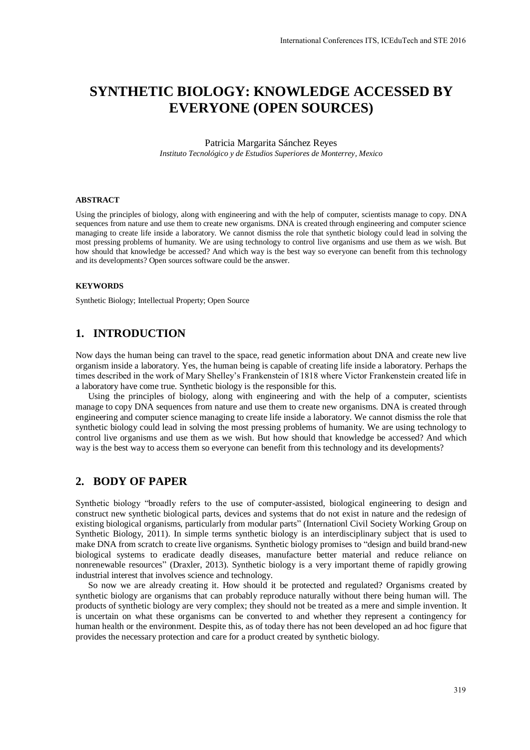# **SYNTHETIC BIOLOGY: KNOWLEDGE ACCESSED BY EVERYONE (OPEN SOURCES)**

#### Patricia Margarita Sánchez Reyes *Instituto Tecnológico y de Estudios Superiores de Monterrey, Mexico*

#### **ABSTRACT**

Using the principles of biology, along with engineering and with the help of computer, scientists manage to copy. DNA sequences from nature and use them to create new organisms. DNA is created through engineering and computer science managing to create life inside a laboratory. We cannot dismiss the role that synthetic biology could lead in solving the most pressing problems of humanity. We are using technology to control live organisms and use them as we wish. But how should that knowledge be accessed? And which way is the best way so everyone can benefit from this technology and its developments? Open sources software could be the answer.

#### **KEYWORDS**

Synthetic Biology; Intellectual Property; Open Source

### **1. INTRODUCTION**

Now days the human being can travel to the space, read genetic information about DNA and create new live organism inside a laboratory. Yes, the human being is capable of creating life inside a laboratory. Perhaps the times described in the work of Mary Shelley's Frankenstein of 1818 where Victor Frankenstein created life in a laboratory have come true. Synthetic biology is the responsible for this.

Using the principles of biology, along with engineering and with the help of a computer, scientists manage to copy DNA sequences from nature and use them to create new organisms. DNA is created through engineering and computer science managing to create life inside a laboratory. We cannot dismiss the role that synthetic biology could lead in solving the most pressing problems of humanity. We are using technology to control live organisms and use them as we wish. But how should that knowledge be accessed? And which way is the best way to access them so everyone can benefit from this technology and its developments?

## **2. BODY OF PAPER**

Synthetic biology "broadly refers to the use of computer-assisted, biological engineering to design and construct new synthetic biological parts, devices and systems that do not exist in nature and the redesign of existing biological organisms, particularly from modular parts" (Internationl Civil Society Working Group on Synthetic Biology, 2011). In simple terms synthetic biology is an interdisciplinary subject that is used to make DNA from scratch to create live organisms. Synthetic biology promises to "design and build brand-new biological systems to eradicate deadly diseases, manufacture better material and reduce reliance on nonrenewable resources" (Draxler, 2013). Synthetic biology is a very important theme of rapidly growing industrial interest that involves science and technology.

So now we are already creating it. How should it be protected and regulated? Organisms created by synthetic biology are organisms that can probably reproduce naturally without there being human will. The products of synthetic biology are very complex; they should not be treated as a mere and simple invention. It is uncertain on what these organisms can be converted to and whether they represent a contingency for human health or the environment. Despite this, as of today there has not been developed an ad hoc figure that provides the necessary protection and care for a product created by synthetic biology.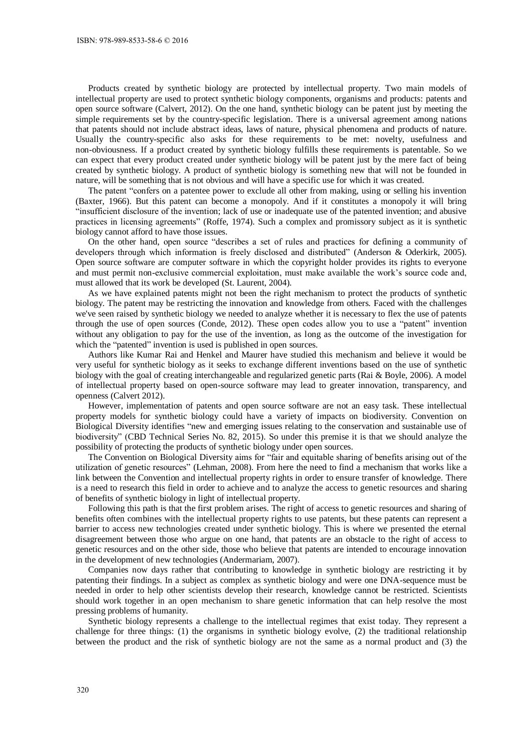Products created by synthetic biology are protected by intellectual property. Two main models of intellectual property are used to protect synthetic biology components, organisms and products: patents and open source software (Calvert, 2012). On the one hand, synthetic biology can be patent just by meeting the simple requirements set by the country-specific legislation. There is a universal agreement among nations that patents should not include abstract ideas, laws of nature, physical phenomena and products of nature. Usually the country-specific also asks for these requirements to be met: novelty, usefulness and non-obviousness. If a product created by synthetic biology fulfills these requirements is patentable. So we can expect that every product created under synthetic biology will be patent just by the mere fact of being created by synthetic biology. A product of synthetic biology is something new that will not be founded in nature, will be something that is not obvious and will have a specific use for which it was created.

The patent "confers on a patentee power to exclude all other from making, using or selling his invention (Baxter, 1966). But this patent can become a monopoly. And if it constitutes a monopoly it will bring "insufficient disclosure of the invention; lack of use or inadequate use of the patented invention; and abusive practices in licensing agreements" (Roffe, 1974). Such a complex and promissory subject as it is synthetic biology cannot afford to have those issues.

On the other hand, open source "describes a set of rules and practices for defining a community of developers through which information is freely disclosed and distributed" (Anderson & Oderkirk, 2005). Open source software are computer software in which the copyright holder provides its rights to everyone and must permit non-exclusive commercial exploitation, must make available the work's source code and, must allowed that its work be developed (St. Laurent, 2004).

As we have explained patents might not been the right mechanism to protect the products of synthetic biology. The patent may be restricting the innovation and knowledge from others. Faced with the challenges we've seen raised by synthetic biology we needed to analyze whether it is necessary to flex the use of patents through the use of open sources (Conde, 2012). These open codes allow you to use a "patent" invention without any obligation to pay for the use of the invention, as long as the outcome of the investigation for which the "patented" invention is used is published in open sources.

Authors like Kumar Rai and Henkel and Maurer have studied this mechanism and believe it would be very useful for synthetic biology as it seeks to exchange different inventions based on the use of synthetic biology with the goal of creating interchangeable and regularized genetic parts (Rai & Boyle, 2006). A model of intellectual property based on open-source software may lead to greater innovation, transparency, and openness (Calvert 2012).

However, implementation of patents and open source software are not an easy task. These intellectual property models for synthetic biology could have a variety of impacts on biodiversity. Convention on Biological Diversity identifies "new and emerging issues relating to the conservation and sustainable use of biodiversity" (CBD Technical Series No. 82, 2015). So under this premise it is that we should analyze the possibility of protecting the products of synthetic biology under open sources.

The Convention on Biological Diversity aims for "fair and equitable sharing of benefits arising out of the utilization of genetic resources" (Lehman, 2008). From here the need to find a mechanism that works like a link between the Convention and intellectual property rights in order to ensure transfer of knowledge. There is a need to research this field in order to achieve and to analyze the access to genetic resources and sharing of benefits of synthetic biology in light of intellectual property.

Following this path is that the first problem arises. The right of access to genetic resources and sharing of benefits often combines with the intellectual property rights to use patents, but these patents can represent a barrier to access new technologies created under synthetic biology. This is where we presented the eternal disagreement between those who argue on one hand, that patents are an obstacle to the right of access to genetic resources and on the other side, those who believe that patents are intended to encourage innovation in the development of new technologies (Andermariam, 2007).

Companies now days rather that contributing to knowledge in synthetic biology are restricting it by patenting their findings. In a subject as complex as synthetic biology and were one DNA-sequence must be needed in order to help other scientists develop their research, knowledge cannot be restricted. Scientists should work together in an open mechanism to share genetic information that can help resolve the most pressing problems of humanity.

Synthetic biology represents a challenge to the intellectual regimes that exist today. They represent a challenge for three things: (1) the organisms in synthetic biology evolve, (2) the traditional relationship between the product and the risk of synthetic biology are not the same as a normal product and (3) the